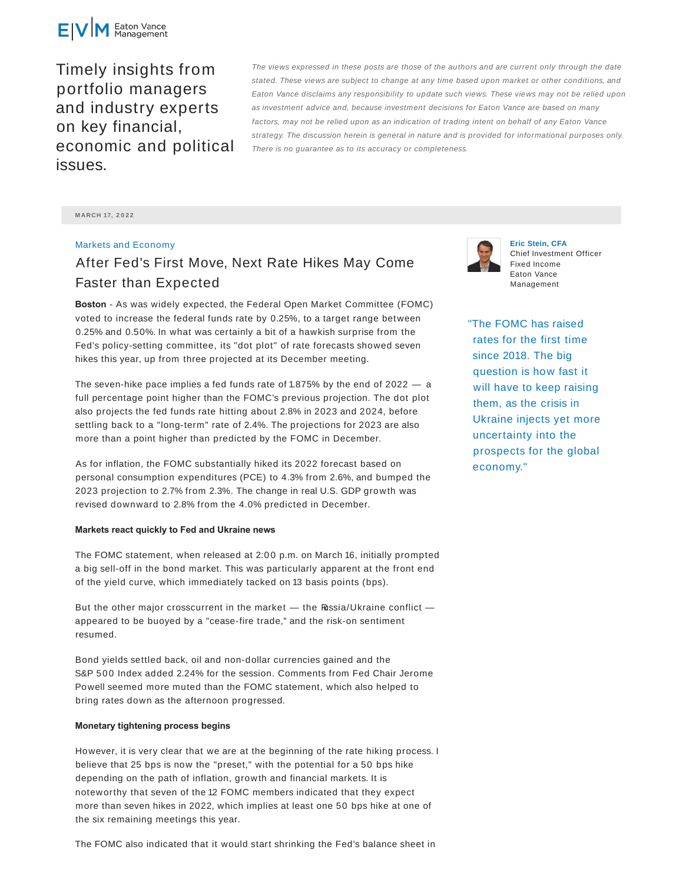

Timely insights from portfolio managers and industry experts on key financial, economic and political issues.

The views expressed in these posts are those of the authors and are current only through the date stated. These views are subject to change at any time based upon market or other conditions, and Eaton Vance disclaims any responsibility to update such views. These views may not be relied upon as investment advice and, because investment decisions for Eaton Vance are based on many factors, may not be relied upon as an indication of trading intent on behalf of any Eaton Vance strategy. The discussion herein is general in nature and is provided for informational purposes only. There is no guarantee as to its accuracy or completeness.

**M ARCH 17, 2 0 2 2**

## Markets and Economy

## After Fed's First Move, Next Rate Hikes May Come Faster than Expected

**Boston** - As was widely expected, the Federal Open Market Committee (FOMC) voted to increase the federal funds rate by 0.25%, to a target range between 0.25% and 0.50%. In what was certainly a bit of a hawkish surprise from the Fed's policy-setting committee, its "dot plot" of rate forecasts showed seven hikes this year, up from three projected at its December meeting.

The seven-hike pace implies a fed funds rate of 1.875% by the end of 2022 — a full percentage point higher than the FOMC's previous projection. The dot plot also projects the fed funds rate hitting about 2.8% in 2023 and 2024, before settling back to a "long-term" rate of 2.4%. The projections for 2023 are also more than a point higher than predicted by the FOMC in December.

As for inflation, the FOMC substantially hiked its 2022 forecast based on personal consumption expenditures (PCE) to 4.3% from 2.6%, and bumped the 2023 projection to 2.7% from 2.3%. The change in real U.S. GDP growth was revised downward to 2.8% from the 4.0% predicted in December.

## **Markets react quickly to Fed and Ukraine news**

The FOMC statement, when released at 2:0 0 p.m. on March 16, initially prompted a big sell-off in the bond market. This was particularly apparent at the front end of the yield curve, which immediately tacked on 13 basis points (bps).

But the other major crosscurrent in the market - the Russia/Ukraine conflict appeared to be buoyed by a "cease-fire trade," and the risk-on sentiment resumed.

Bond yields settled back, oil and non-dollar currencies gained and the S&P 500 Index added 2.24% for the session. Comments from Fed Chair Jerome Powell seemed more muted than the FOMC statement, which also helped to bring rates down as the afternoon progressed.

## **Monetary tightening process begins**

However, it is very clear that we are at the beginning of the rate hiking process. I believe that 25 bps is now the "preset," with the potential for a 50 bps hike depending on the path of inflation, growth and financial markets. It is noteworthy that seven of the 12 FOMC members indicated that they expect more than seven hikes in 2022, which implies at least one 50 bps hike at one of the six remaining meetings this year.

The FOMC also indicated that it would start shrinking the Fed's balance sheet in



**Eric Stein, CFA** Chief Investment Officer Fixed Income Eaton Vance Management

"The FOMC has raised rates for the first time since 2018. The big question is how fast it will have to keep raising them, as the crisis in Ukraine injects yet more uncertainty into the prospects for the global economy."